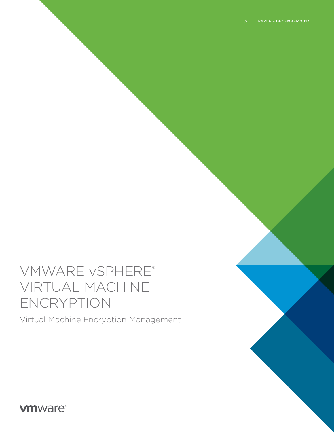# VMWARE vSPHERE® VIRTUAL MACHINE ENCRYPTION

Virtual Machine Encryption Management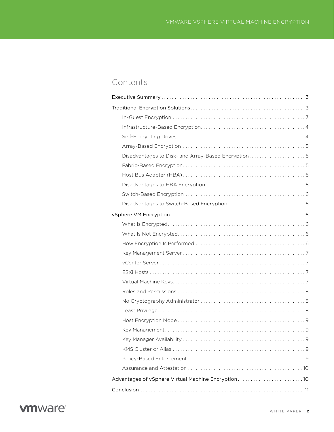# Contents

| Disadvantages to Disk- and Array-Based Encryption5 |
|----------------------------------------------------|
|                                                    |
|                                                    |
|                                                    |
|                                                    |
|                                                    |
|                                                    |
|                                                    |
|                                                    |
|                                                    |
|                                                    |
|                                                    |
|                                                    |
|                                                    |
|                                                    |
|                                                    |
|                                                    |
|                                                    |
|                                                    |
|                                                    |
|                                                    |
|                                                    |
|                                                    |
| Advantages of vSphere Virtual Machine Encryption10 |
|                                                    |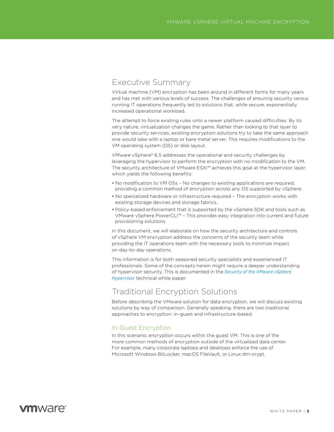### <span id="page-2-0"></span>Executive Summary

Virtual machine (VM) encryption has been around in different forms for many years and has met with various levels of success. The challenges of ensuring security versus running IT operations frequently led to solutions that, while secure, exponentially increased operational workload.

The attempt to force existing rules onto a newer platform caused difficulties. By its very nature, virtualization changes the game. Rather than looking to that layer to provide security services, existing encryption solutions try to take the same approach one would take with a laptop or bare metal server. This requires modifications to the VM operating system (OS) or disk layout.

VMware vSphere® 6.5 addresses the operational and security challenges by leveraging the hypervisor to perform the encryption with no modification to the VM. The security architecture of VMware ESXi™ achieves this goal at the hypervisor layer, which yields the following benefits:

- No modification to VM OSs No changes to existing applications are required, providing a common method of encryption across any OS supported by vSphere.
- No specialized hardware or infrastructure required The encryption works with existing storage devices and storage fabrics.
- Policy-based enforcement that is supported by the vSphere SDK and tools such as VMware vSphere PowerCLI™ – This provides easy integration into current and future provisioning solutions.

In this document, we will elaborate on how the security architecture and controls of vSphere VM encryption address the concerns of the security team while providing the IT operations team with the necessary tools to minimize impact on day-to-day operations.

This information is for both seasoned security specialists and experienced IT professionals. Some of the concepts herein might require a deeper understanding of hypervisor security. This is documented in the *[Security of the VMware vSphere](https://www.vmware.com/techpapers/2014/security-of-the-vmware-vsphere-hypervisor-10414.html)  [Hypervisor](https://www.vmware.com/techpapers/2014/security-of-the-vmware-vsphere-hypervisor-10414.html)* technical white paper.

# Traditional Encryption Solutions

Before describing the VMware solution for data encryption, we will discuss existing solutions by way of comparison. Generally speaking, there are two traditional approaches to encryption: in-guest and infrastructure-based.

### In-Guest Encryption

In this scenario, encryption occurs within the guest VM. This is one of the more common methods of encryption outside of the virtualized data center. For example, many corporate laptops and desktops enforce the use of Microsoft Windows BitLocker, macOS FileVault, or Linux dm-crypt.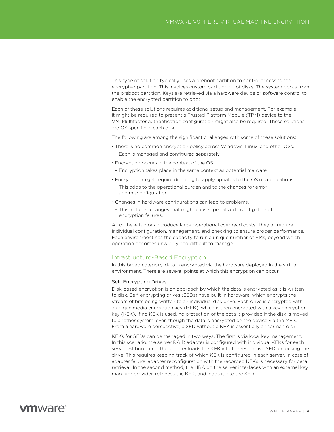<span id="page-3-0"></span>This type of solution typically uses a preboot partition to control access to the encrypted partition. This involves custom partitioning of disks. The system boots from the preboot partition. Keys are retrieved via a hardware device or software control to enable the encrypted partition to boot.

Each of these solutions requires additional setup and management. For example, it might be required to present a Trusted Platform Module (TPM) device to the VM. Multifactor authentication configuration might also be required. These solutions are OS specific in each case.

The following are among the significant challenges with some of these solutions:

- There is no common encryption policy across Windows, Linux, and other OSs.
- Each is managed and configured separately.
- Encryption occurs in the context of the OS.

– Encryption takes place in the same context as potential malware.

- Encryption might require disabling to apply updates to the OS or applications.
- This adds to the operational burden and to the chances for error and misconfiguration.
- Changes in hardware configurations can lead to problems.
	- This includes changes that might cause specialized investigation of encryption failures.

All of these factors introduce large operational overhead costs. They all require individual configuration, management, and checking to ensure proper performance. Each environment has the capacity to run a unique number of VMs, beyond which operation becomes unwieldy and difficult to manage.

#### Infrastructure-Based Encryption

In this broad category, data is encrypted via the hardware deployed in the virtual environment. There are several points at which this encryption can occur.

#### Self-Encrypting Drives

Disk-based encryption is an approach by which the data is encrypted as it is written to disk. Self-encrypting drives (SEDs) have built-in hardware, which encrypts the stream of bits being written to an individual disk drive. Each drive is encrypted with a unique media encryption key (MEK), which is then encrypted with a key encryption key (KEK). If no KEK is used, no protection of the data is provided if the disk is moved to another system, even though the data is encrypted on the device via the MEK. From a hardware perspective, a SED without a KEK is essentially a "normal" disk.

KEKs for SEDs can be managed in two ways. The first is via local key management. In this scenario, the server RAID adapter is configured with individual KEKs for each server. At boot time, the adapter loads the KEK into the respective SED, unlocking the drive. This requires keeping track of which KEK is configured in each server. In case of adapter failure, adapter reconfiguration with the recorded KEKs is necessary for data retrieval. In the second method, the HBA on the server interfaces with an external key manager provider, retrieves the KEK, and loads it into the SED.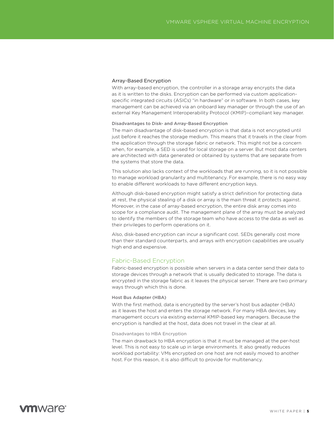#### <span id="page-4-0"></span>Array-Based Encryption

With array-based encryption, the controller in a storage array encrypts the data as it is written to the disks. Encryption can be performed via custom applicationspecific integrated circuits (ASICs) "in hardware" or in software. In both cases, key management can be achieved via an onboard key manager or through the use of an external Key Management Interoperability Protocol (KMIP)–compliant key manager.

#### Disadvantages to Disk- and Array-Based Encryption

The main disadvantage of disk-based encryption is that data is not encrypted until just before it reaches the storage medium. This means that it travels in the clear from the application through the storage fabric or network. This might not be a concern when, for example, a SED is used for local storage on a server. But most data centers are architected with data generated or obtained by systems that are separate from the systems that store the data.

This solution also lacks context of the workloads that are running, so it is not possible to manage workload granularity and multitenancy. For example, there is no easy way to enable different workloads to have different encryption keys.

Although disk-based encryption might satisfy a strict definition for protecting data at rest, the physical stealing of a disk or array is the main threat it protects against. Moreover, in the case of array-based encryption, the entire disk array comes into scope for a compliance audit. The management plane of the array must be analyzed to identify the members of the storage team who have access to the data as well as their privileges to perform operations on it.

Also, disk-based encryption can incur a significant cost. SEDs generally cost more than their standard counterparts, and arrays with encryption capabilities are usually high end and expensive.

### Fabric-Based Encryption

Fabric-based encryption is possible when servers in a data center send their data to storage devices through a network that is usually dedicated to storage. The data is encrypted in the storage fabric as it leaves the physical server. There are two primary ways through which this is done.

#### Host Bus Adapter (HBA)

With the first method, data is encrypted by the server's host bus adapter (HBA) as it leaves the host and enters the storage network. For many HBA devices, key management occurs via existing external KMIP-based key managers. Because the encryption is handled at the host, data does not travel in the clear at all.

#### Disadvantages to HBA Encryption

The main drawback to HBA encryption is that it must be managed at the per-host level. This is not easy to scale up in large environments. It also greatly reduces workload portability: VMs encrypted on one host are not easily moved to another host. For this reason, it is also difficult to provide for multitenancy.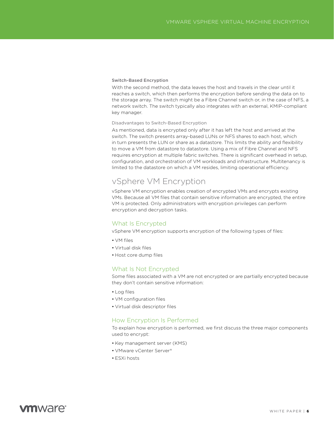#### <span id="page-5-0"></span>Switch-Based Encryption

With the second method, the data leaves the host and travels in the clear until it reaches a switch, which then performs the encryption before sending the data on to the storage array. The switch might be a Fibre Channel switch or, in the case of NFS, a network switch. The switch typically also integrates with an external, KMIP-compliant key manager.

#### Disadvantages to Switch-Based Encryption

As mentioned, data is encrypted only after it has left the host and arrived at the switch. The switch presents array-based LUNs or NFS shares to each host, which in turn presents the LUN or share as a datastore. This limits the ability and flexibility to move a VM from datastore to datastore. Using a mix of Fibre Channel and NFS requires encryption at multiple fabric switches. There is significant overhead in setup, configuration, and orchestration of VM workloads and infrastructure. Multitenancy is limited to the datastore on which a VM resides, limiting operational efficiency.

### vSphere VM Encryption

vSphere VM encryption enables creation of encrypted VMs and encrypts existing VMs. Because all VM files that contain sensitive information are encrypted, the entire VM is protected. Only administrators with encryption privileges can perform encryption and decryption tasks.

### What Is Encrypted

vSphere VM encryption supports encryption of the following types of files:

- VM files
- Virtual disk files
- Host core dump files

### What Is Not Encrypted

Some files associated with a VM are not encrypted or are partially encrypted because they don't contain sensitive information:

- Log files
- VM configuration files
- Virtual disk descriptor files

### How Encryption Is Performed

To explain how encryption is performed, we first discuss the three major components used to encrypt:

- Key management server (KMS)
- VMware vCenter Server®
- ESXi hosts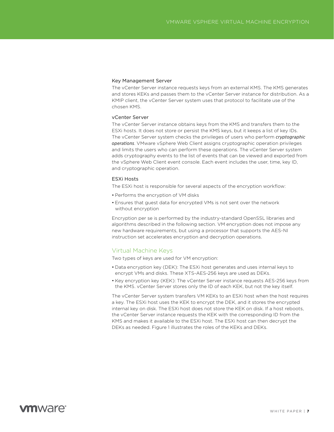#### <span id="page-6-0"></span>Key Management Server

The vCenter Server instance requests keys from an external KMS. The KMS generates and stores KEKs and passes them to the vCenter Server instance for distribution. As a KMIP client, the vCenter Server system uses that protocol to facilitate use of the chosen KMS.

#### vCenter Server

The vCenter Server instance obtains keys from the KMS and transfers them to the ESXi hosts. It does not store or persist the KMS keys, but it keeps a list of key IDs. The vCenter Server system checks the privileges of users who perform *cryptographic operations*. VMware vSphere Web Client assigns cryptographic operation privileges and limits the users who can perform these operations. The vCenter Server system adds cryptography events to the list of events that can be viewed and exported from the vSphere Web Client event console. Each event includes the user, time, key ID, and cryptographic operation.

#### ESXi Hosts

The ESXi host is responsible for several aspects of the encryption workflow:

- Performs the encryption of VM disks
- Ensures that guest data for encrypted VMs is not sent over the network without encryption

Encryption per se is performed by the industry-standard OpenSSL libraries and algorithms described in the following section. VM encryption does not impose any new hardware requirements, but using a processor that supports the AES-NI instruction set accelerates encryption and decryption operations.

### Virtual Machine Keys

Two types of keys are used for VM encryption:

- Data encryption key (DEK): The ESXi host generates and uses internal keys to encrypt VMs and disks. These XTS-AES-256 keys are used as DEKs.
- Key encryption key (KEK): The vCenter Server instance requests AES-256 keys from the KMS. vCenter Server stores only the ID of each KEK, but not the key itself.

The vCenter Server system transfers VM KEKs to an ESXi host when the host requires a key. The ESXi host uses the KEK to encrypt the DEK, and it stores the encrypted internal key on disk. The ESXi host does not store the KEK on disk. If a host reboots, the vCenter Server instance requests the KEK with the corresponding ID from the KMS and makes it available to the ESXi host. The ESXi host can then decrypt the DEKs as needed. Figure 1 illustrates the roles of the KEKs and DEKs.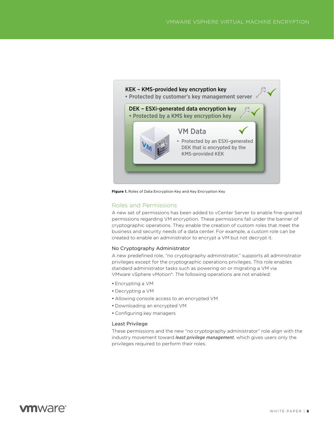<span id="page-7-0"></span>

**Figure 1.** Roles of Data Encryption Key and Key Encryption Key

### Roles and Permissions

A new set of permissions has been added to vCenter Server to enable fine-grained permissions regarding VM encryption. These permissions fall under the banner of cryptographic operations. They enable the creation of custom roles that meet the business and security needs of a data center. For example, a custom role can be created to enable an administrator to encrypt a VM but not decrypt it.

#### No Cryptography Administrator

A new predefined role, "no cryptography administrator," supports all administrator privileges except for the cryptographic operations privileges. This role enables standard administrator tasks such as powering on or migrating a VM via VMware vSphere vMotion®. The following operations are not enabled:

- Encrypting a VM
- Decrypting a VM
- Allowing console access to an encrypted VM
- Downloading an encrypted VM
- Configuring key managers

#### Least Privilege

These permissions and the new "no cryptography administrator" role align with the industry movement toward *least privilege management*, which gives users only the privileges required to perform their roles.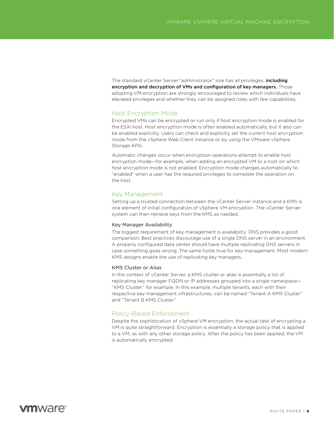<span id="page-8-0"></span>The standard vCenter Server "administrator" role has all privileges, *including* encryption and decryption of VMs and configuration of key managers. Those adopting VM encryption are strongly encouraged to review which individuals have elevated privileges and whether they can be assigned roles with few capabilities.

#### Host Encryption Mode

Encrypted VMs can be encrypted or run only if host encryption mode is enabled for the ESXi host. Host encryption mode is often enabled automatically, but it also can be enabled explicitly. Users can check and explicitly set the current host encryption mode from the vSphere Web Client instance or by using the VMware vSphere Storage APIs.

Automatic changes occur when encryption operations attempt to enable host encryption mode—for example, when adding an encrypted VM to a host on which host encryption mode is not enabled. Encryption mode changes automatically to "enabled" when a user has the required privileges to complete the operation on the host.

#### Key Management

Setting up a trusted connection between the vCenter Server instance and a KMS is one element of initial configuration of vSphere VM encryption. The vCenter Server system can then retrieve keys from the KMS as needed.

#### Key Manager Availability

The biggest requirement of key management is availability. DNS provides a good comparison. Best practices discourage use of a single DNS server in an environment. A properly configured data center should have multiple replicating DNS servers in case something goes wrong. The same holds true for key management. Most modern KMS designs enable the use of replicating key managers.

#### KMS Cluster or Alias

In the context of vCenter Server, a KMS cluster or alias is essentially a list of replicating key manager FQDN or IP addresses grouped into a single namespace— "KMS Cluster," for example. In this example, multiple tenants, each with their respective key management infrastructures, can be named "Tenant A KMS Cluster" and "Tenant B KMS Cluster."

### Policy-Based Enforcement

Despite the sophistication of vSphere VM encryption, the actual task of encrypting a VM is quite straightforward. Encryption is essentially a storage policy that is applied to a VM, as with any other storage policy. After the policy has been applied, the VM is automatically encrypted.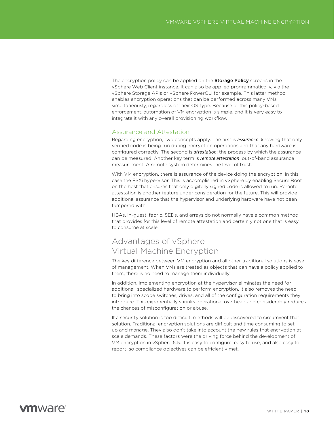<span id="page-9-0"></span>The encryption policy can be applied on the **Storage Policy** screens in the vSphere Web Client instance. It can also be applied programmatically, via the vSphere Storage APIs or vSphere PowerCLI for example. This latter method enables encryption operations that can be performed across many VMs simultaneously, regardless of their OS type. Because of this policy-based enforcement, automation of VM encryption is simple, and it is very easy to integrate it with any overall provisioning workflow.

### Assurance and Attestation

Regarding encryption, two concepts apply. The first is *assurance*: knowing that only verified code is being run during encryption operations and that any hardware is configured correctly. The second is *attestation*: the process by which the assurance can be measured. Another key term is *remote attestation*: out-of-band assurance measurement. A remote system determines the level of trust.

With VM encryption, there is assurance of the device doing the encryption, in this case the ESXi hypervisor. This is accomplished in vSphere by enabling Secure Boot on the host that ensures that only digitally signed code is allowed to run. Remote attestation is another feature under consideration for the future. This will provide additional assurance that the hypervisor and underlying hardware have not been tampered with.

HBAs, in-guest, fabric, SEDs, and arrays do not normally have a common method that provides for this level of remote attestation and certainly not one that is easy to consume at scale.

# Advantages of vSphere Virtual Machine Encryption

The key difference between VM encryption and all other traditional solutions is ease of management. When VMs are treated as objects that can have a policy applied to them, there is no need to manage them individually.

In addition, implementing encryption at the hypervisor eliminates the need for additional, specialized hardware to perform encryption. It also removes the need to bring into scope switches, drives, and all of the configuration requirements they introduce. This exponentially shrinks operational overhead and considerably reduces the chances of misconfiguration or abuse.

If a security solution is too difficult, methods will be discovered to circumvent that solution. Traditional encryption solutions are difficult and time consuming to set up and manage. They also don't take into account the new rules that encryption at scale demands. These factors were the driving force behind the development of VM encryption in vSphere 6.5. It is easy to configure, easy to use, and also easy to report, so compliance objectives can be efficiently met.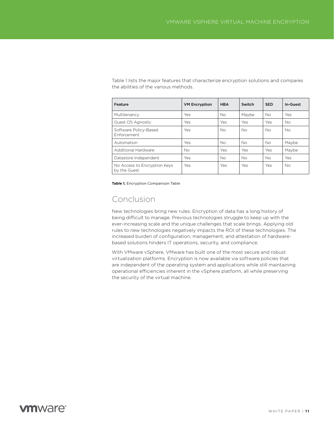<span id="page-10-0"></span>Table 1 lists the major features that characterize encryption solutions and compares the abilities of the various methods.

| Feature                                      | <b>VM Encryption</b> | <b>HBA</b> | Switch    | <b>SED</b> | In-Guest  |
|----------------------------------------------|----------------------|------------|-----------|------------|-----------|
| Multitenancy                                 | Yes                  | No         | Maybe     | <b>No</b>  | Yes       |
| Guest OS Agnostic                            | Yes                  | Yes        | Yes       | Yes        | No.       |
| Software Policy-Based<br><b>Enforcement</b>  | Yes                  | No.        | Nο        | <b>No</b>  | <b>No</b> |
| Automation                                   | Yes                  | No         | Nο        | <b>No</b>  | Maybe     |
| Additional Hardware                          | <b>No</b>            | Yes        | Yes       | Yes        | Maybe     |
| Datastore Independent                        | Yes                  | No         | <b>No</b> | <b>No</b>  | Yes       |
| No Access to Encryption Keys<br>by the Guest | Yes                  | Yes        | Yes       | Yes        | <b>No</b> |

**Table 1.** Encryption Comparison Table

# Conclusion

New technologies bring new rules. Encryption of data has a long history of being difficult to manage. Previous technologies struggle to keep up with the ever-increasing scale and the unique challenges that scale brings. Applying old rules to new technologies negatively impacts the ROI of these technologies. The increased burden of configuration, management, and attestation of hardwarebased solutions hinders IT operations, security, and compliance.

With VMware vSphere, VMware has built one of the most secure and robust virtualization platforms. Encryption is now available via software policies that are independent of the operating system and applications while still maintaining operational efficiencies inherent in the vSphere platform, all while preserving the security of the virtual machine.